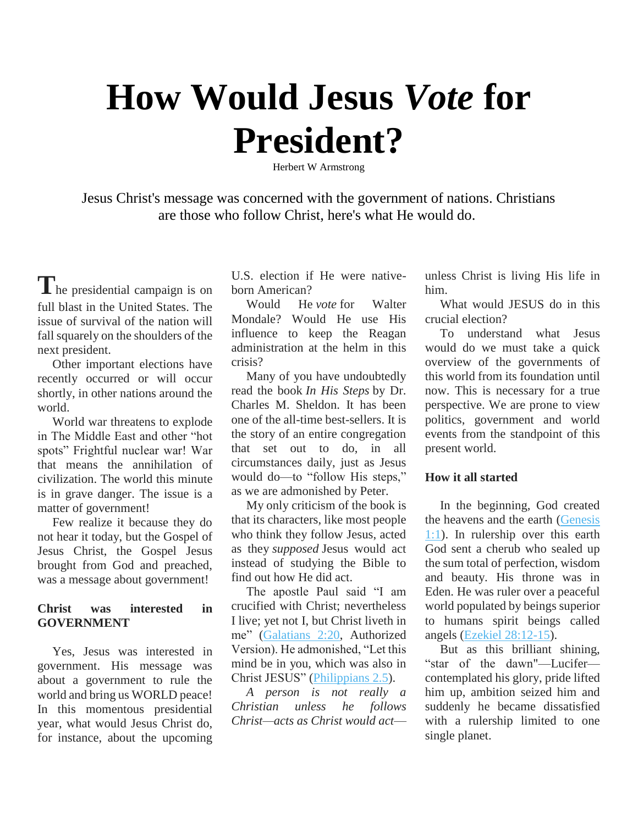# **How Would Jesus** *Vote* **for President?**

Herbert W Armstrong

Jesus Christ's message was concerned with the government of nations. Christians are those who follow Christ, here's what He would do.

**T**he presidential campaign is on full blast in the United States. The issue of survival of the nation will fall squarely on the shoulders of the next president.

Other important elections have recently occurred or will occur shortly, in other nations around the world.

World war threatens to explode in The Middle East and other "hot spots" Frightful nuclear war! War that means the annihilation of civilization. The world this minute is in grave danger. The issue is a matter of government!

Few realize it because they do not hear it today, but the Gospel of Jesus Christ, the Gospel Jesus brought from God and preached, was a message about government!

# **Christ was interested in GOVERNMENT**

Yes, Jesus was interested in government. His message was about a government to rule the world and bring us WORLD peace! In this momentous presidential year, what would Jesus Christ do, for instance, about the upcoming U.S. election if He were nativeborn American?

Would He *vote* for Walter Mondale? Would He use His influence to keep the Reagan administration at the helm in this crisis?

Many of you have undoubtedly read the book *In His Steps* by Dr. Charles M. Sheldon. It has been one of the all-time best-sellers. It is the story of an entire congregation that set out to do, in all circumstances daily, just as Jesus would do—to "follow His steps," as we are admonished by Peter.

My only criticism of the book is that its characters, like most people who think they follow Jesus, acted as they *supposed* Jesus would act instead of studying the Bible to find out how He did act.

The apostle Paul said "I am crucified with Christ; nevertheless I live; yet not I, but Christ liveth in me" [\(Galatians 2:20,](http://biblia.com/bible/nkjv/Gal%202.20) Authorized Version). He admonished, "Let this mind be in you, which was also in Christ JESUS" [\(Philippians 2.5\)](http://biblia.com/bible/nkjv/Phil%202.5).

*A person is not really a Christian unless he follows Christ—acts as Christ would act*— unless Christ is living His life in him.

What would JESUS do in this crucial election?

To understand what Jesus would do we must take a quick overview of the governments of this world from its foundation until now. This is necessary for a true perspective. We are prone to view politics, government and world events from the standpoint of this present world.

#### **How it all started**

In the beginning, God created the heavens and the earth [\(Genesis](http://biblia.com/bible/nkjv/Gen%201.1)  [1:1\)](http://biblia.com/bible/nkjv/Gen%201.1). In rulership over this earth God sent a cherub who sealed up the sum total of perfection, wisdom and beauty. His throne was in Eden. He was ruler over a peaceful world populated by beings superior to humans spirit beings called angels [\(Ezekiel 28:12-15\)](http://biblia.com/bible/nkjv/Ezek%2028.12-15).

But as this brilliant shining, "star of the dawn"—Lucifer contemplated his glory, pride lifted him up, ambition seized him and suddenly he became dissatisfied with a rulership limited to one single planet.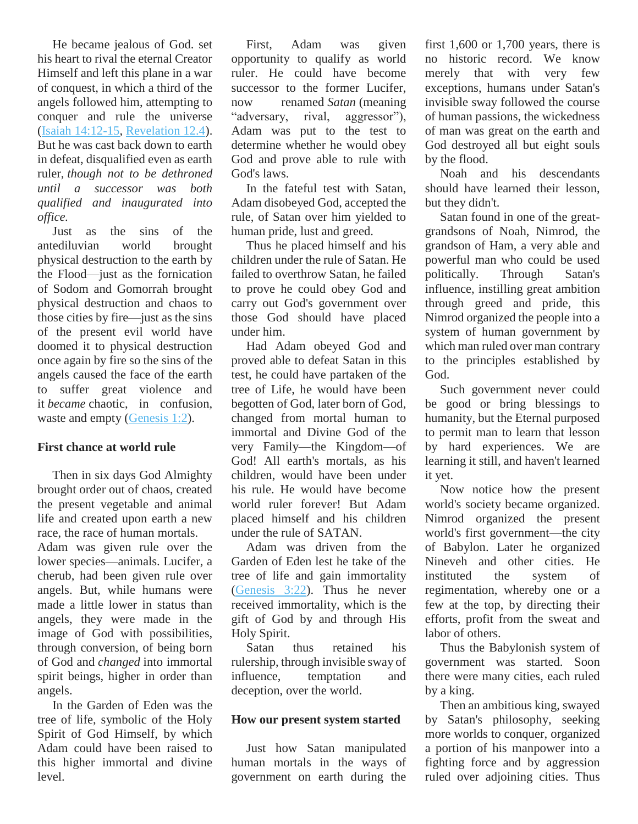He became jealous of God. set his heart to rival the eternal Creator Himself and left this plane in a war of conquest, in which a third of the angels followed him, attempting to conquer and rule the universe [\(Isaiah 14:12-15,](http://biblia.com/bible/nkjv/Isa%2014.12-15) [Revelation 12.4\)](http://biblia.com/bible/nkjv/Rev%2012.4). But he was cast back down to earth in defeat, disqualified even as earth ruler, *though not to be dethroned until a successor was both qualified and inaugurated into office.*

Just as the sins of the antediluvian world brought physical destruction to the earth by the Flood—just as the fornication of Sodom and Gomorrah brought physical destruction and chaos to those cities by fire—just as the sins of the present evil world have doomed it to physical destruction once again by fire so the sins of the angels caused the face of the earth to suffer great violence and it *became* chaotic, in confusion, waste and empty [\(Genesis 1:2\)](http://biblia.com/bible/nkjv/Gen%201.2).

## **First chance at world rule**

Then in six days God Almighty brought order out of chaos, created the present vegetable and animal life and created upon earth a new race, the race of human mortals. Adam was given rule over the lower species—animals. Lucifer, a cherub, had been given rule over angels. But, while humans were made a little lower in status than angels, they were made in the image of God with possibilities, through conversion, of being born of God and *changed* into immortal spirit beings, higher in order than angels.

In the Garden of Eden was the tree of life, symbolic of the Holy Spirit of God Himself, by which Adam could have been raised to this higher immortal and divine level.

First, Adam was given opportunity to qualify as world ruler. He could have become successor to the former Lucifer, now renamed *Satan* (meaning "adversary, rival, aggressor"), Adam was put to the test to determine whether he would obey God and prove able to rule with God's laws.

In the fateful test with Satan, Adam disobeyed God, accepted the rule, of Satan over him yielded to human pride, lust and greed.

Thus he placed himself and his children under the rule of Satan. He failed to overthrow Satan, he failed to prove he could obey God and carry out God's government over those God should have placed under him.

Had Adam obeyed God and proved able to defeat Satan in this test, he could have partaken of the tree of Life, he would have been begotten of God, later born of God, changed from mortal human to immortal and Divine God of the very Family—the Kingdom—of God! All earth's mortals, as his children, would have been under his rule. He would have become world ruler forever! But Adam placed himself and his children under the rule of SATAN.

Adam was driven from the Garden of Eden lest he take of the tree of life and gain immortality [\(Genesis 3:22\)](http://biblia.com/bible/nkjv/Gen%203.22). Thus he never received immortality, which is the gift of God by and through His Holy Spirit.

Satan thus retained his rulership, through invisible sway of influence, temptation and deception, over the world.

#### **How our present system started**

Just how Satan manipulated human mortals in the ways of government on earth during the first  $1,600$  or  $1,700$  years, there is no historic record. We know merely that with very few exceptions, humans under Satan's invisible sway followed the course of human passions, the wickedness of man was great on the earth and God destroyed all but eight souls by the flood.

Noah and his descendants should have learned their lesson, but they didn't.

Satan found in one of the greatgrandsons of Noah, Nimrod, the grandson of Ham, a very able and powerful man who could be used politically. Through Satan's influence, instilling great ambition through greed and pride, this Nimrod organized the people into a system of human government by which man ruled over man contrary to the principles established by God.

Such government never could be good or bring blessings to humanity, but the Eternal purposed to permit man to learn that lesson by hard experiences. We are learning it still, and haven't learned it yet.

Now notice how the present world's society became organized. Nimrod organized the present world's first government—the city of Babylon. Later he organized Nineveh and other cities. He instituted the system of regimentation, whereby one or a few at the top, by directing their efforts, profit from the sweat and labor of others.

Thus the Babylonish system of government was started. Soon there were many cities, each ruled by a king.

Then an ambitious king, swayed by Satan's philosophy, seeking more worlds to conquer, organized a portion of his manpower into a fighting force and by aggression ruled over adjoining cities. Thus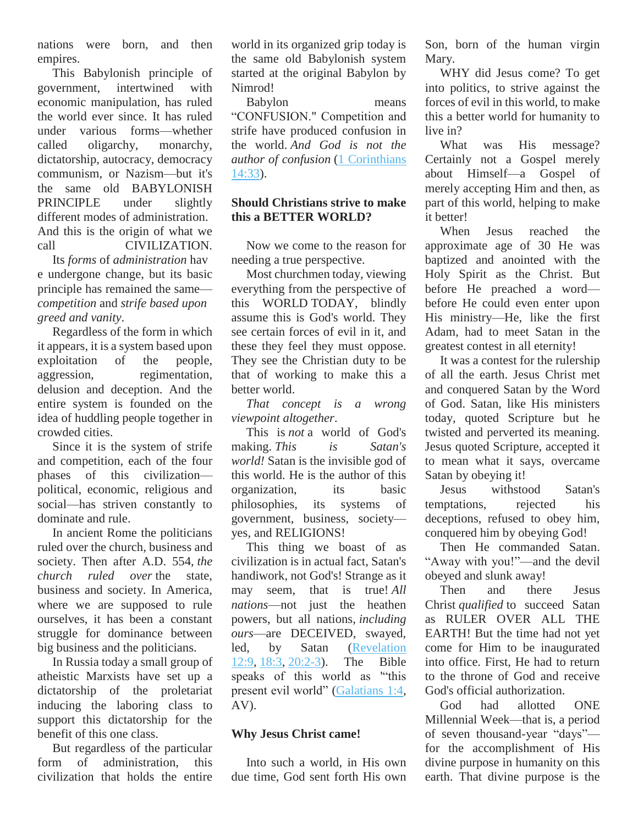nations were born, and then empires.

This Babylonish principle of government, intertwined with economic manipulation, has ruled the world ever since. It has ruled under various forms—whether called oligarchy, monarchy, dictatorship, autocracy, democracy communism, or Nazism—but it's the same old BABYLONISH PRINCIPLE under slightly different modes of administration. And this is the origin of what we call CIVILIZATION.

Its *forms* of *administration* hav e undergone change, but its basic principle has remained the same *competition* and *strife based upon greed and vanity*.

Regardless of the form in which it appears, it is a system based upon exploitation of the people, aggression, regimentation, delusion and deception. And the entire system is founded on the idea of huddling people together in crowded cities.

Since it is the system of strife and competition, each of the four phases of this civilization political, economic, religious and social—has striven constantly to dominate and rule.

In ancient Rome the politicians ruled over the church, business and society. Then after A.D. 554, *the church ruled over* the state, business and society. In America, where we are supposed to rule ourselves, it has been a constant struggle for dominance between big business and the politicians.

In Russia today a small group of atheistic Marxists have set up a dictatorship of the proletariat inducing the laboring class to support this dictatorship for the benefit of this one class.

But regardless of the particular form of administration, this civilization that holds the entire

world in its organized grip today is the same old Babylonish system started at the original Babylon by Nimrod!

Babylon means "CONFUSION." Competition and strife have produced confusion in the world. *And God is not the author of confusion* [\(1 Corinthians](http://biblia.com/bible/nkjv/1%20Cor%2014.33)  [14:33\)](http://biblia.com/bible/nkjv/1%20Cor%2014.33).

## **Should Christians strive to make this a BETTER WORLD?**

Now we come to the reason for needing a true perspective.

Most churchmen today, viewing everything from the perspective of this WORLD TODAY, blindly assume this is God's world. They see certain forces of evil in it, and these they feel they must oppose. They see the Christian duty to be that of working to make this a better world.

*That concept is a wrong viewpoint altogether*.

This is *not* a world of God's making. *This is Satan's world!* Satan is the invisible god of this world. He is the author of this organization, its basic philosophies, its systems of government, business, society yes, and RELIGIONS!

This thing we boast of as civilization is in actual fact, Satan's handiwork, not God's! Strange as it may seem, that is true! *All nations*—not just the heathen powers, but all nations, *including ours*—are DECEIVED, swayed, led, by Satan [\(Revelation](http://biblia.com/bible/nkjv/Rev%2012.9)  [12:9,](http://biblia.com/bible/nkjv/Rev%2012.9) [18:3,](http://biblia.com/bible/nkjv/Revelation%2018.3) [20:2-3\)](http://biblia.com/bible/nkjv/Revelation%2020.2-3). The Bible speaks of this world as '"this present evil world" [\(Galatians 1:4,](http://biblia.com/bible/nkjv/Gal%201.4) AV).

## **Why Jesus Christ came!**

Into such a world, in His own due time, God sent forth His own Son, born of the human virgin Mary.

WHY did Jesus come? To get into politics, to strive against the forces of evil in this world, to make this a better world for humanity to live in?

What was His message? Certainly not a Gospel merely about Himself—a Gospel of merely accepting Him and then, as part of this world, helping to make it better!

When Jesus reached the approximate age of 30 He was baptized and anointed with the Holy Spirit as the Christ. But before He preached a word before He could even enter upon His ministry—He, like the first Adam, had to meet Satan in the greatest contest in all eternity!

It was a contest for the rulership of all the earth. Jesus Christ met and conquered Satan by the Word of God. Satan, like His ministers today, quoted Scripture but he twisted and perverted its meaning. Jesus quoted Scripture, accepted it to mean what it says, overcame Satan by obeying it!

Jesus withstood Satan's temptations, rejected his deceptions, refused to obey him, conquered him by obeying God!

Then He commanded Satan. "Away with you!"—and the devil obeyed and slunk away!

Then and there Jesus Christ *qualified* to succeed Satan as RULER OVER ALL THE EARTH! But the time had not yet come for Him to be inaugurated into office. First, He had to return to the throne of God and receive God's official authorization.

God had allotted ONE Millennial Week—that is, a period of seven thousand-year "days" for the accomplishment of His divine purpose in humanity on this earth. That divine purpose is the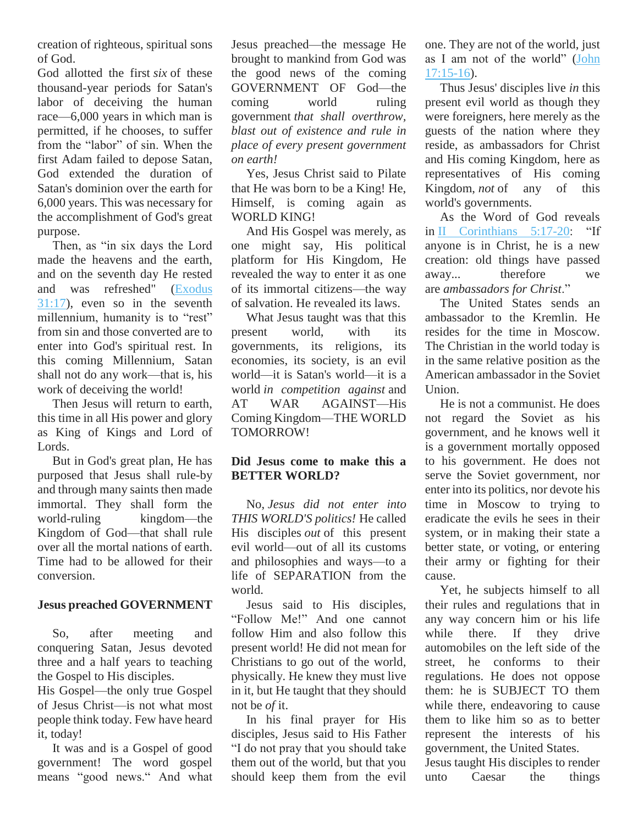creation of righteous, spiritual sons of God.

God allotted the first *six* of these thousand-year periods for Satan's labor of deceiving the human race—6,000 years in which man is permitted, if he chooses, to suffer from the "labor" of sin. When the first Adam failed to depose Satan, God extended the duration of Satan's dominion over the earth for 6,000 years. This was necessary for the accomplishment of God's great purpose.

Then, as "in six days the Lord made the heavens and the earth, and on the seventh day He rested and was refreshed" [\(Exodus](http://biblia.com/bible/nkjv/Exod%2031.17)  [31:17\)](http://biblia.com/bible/nkjv/Exod%2031.17), even so in the seventh millennium, humanity is to "rest" from sin and those converted are to enter into God's spiritual rest. In this coming Millennium, Satan shall not do any work—that is, his work of deceiving the world!

Then Jesus will return to earth, this time in all His power and glory as King of Kings and Lord of Lords.

But in God's great plan, He has purposed that Jesus shall rule-by and through many saints then made immortal. They shall form the world-ruling kingdom—the Kingdom of God—that shall rule over all the mortal nations of earth. Time had to be allowed for their conversion.

#### **Jesus preached GOVERNMENT**

So, after meeting and conquering Satan, Jesus devoted three and a half years to teaching the Gospel to His disciples.

His Gospel—the only true Gospel of Jesus Christ—is not what most people think today. Few have heard it, today!

It was and is a Gospel of good government! The word gospel means "good news." And what

Jesus preached—the message He brought to mankind from God was the good news of the coming GOVERNMENT OF God—the coming world ruling government *that shall overthrow, blast out of existence and rule in place of every present government on earth!*

Yes, Jesus Christ said to Pilate that He was born to be a King! He, Himself, is coming again as WORLD KING!

And His Gospel was merely, as one might say, His political platform for His Kingdom, He revealed the way to enter it as one of its immortal citizens—the way of salvation. He revealed its laws.

What Jesus taught was that this present world, with its governments, its religions, its economies, its society, is an evil world—it is Satan's world—it is a world *in competition against* and AT WAR AGAINST—His Coming Kingdom—THE WORLD TOMORROW!

# **Did Jesus come to make this a BETTER WORLD?**

No, *Jesus did not enter into THIS WORLD'S politics!* He called His disciples *out* of this present evil world—out of all its customs and philosophies and ways—to a life of SEPARATION from the world.

Jesus said to His disciples, "Follow Me!" And one cannot follow Him and also follow this present world! He did not mean for Christians to go out of the world, physically. He knew they must live in it, but He taught that they should not be *of* it.

In his final prayer for His disciples, Jesus said to His Father "I do not pray that you should take them out of the world, but that you should keep them from the evil one. They are not of the world, just as I am not of the world" [\(John](http://biblia.com/bible/nkjv/John%2017.15-16)  [17:15-16\)](http://biblia.com/bible/nkjv/John%2017.15-16).

Thus Jesus' disciples live *in* this present evil world as though they were foreigners, here merely as the guests of the nation where they reside, as ambassadors for Christ and His coming Kingdom, here as representatives of His coming Kingdom, *not* of any of this world's governments.

As the Word of God reveals in [II Corinthians 5:17-20:](http://biblia.com/bible/nkjv/2%20Cor%205.17-20) "If anyone is in Christ, he is a new creation: old things have passed away... therefore we are *ambassadors for Christ*."

The United States sends an ambassador to the Kremlin. He resides for the time in Moscow. The Christian in the world today is in the same relative position as the American ambassador in the Soviet Union.

He is not a communist. He does not regard the Soviet as his government, and he knows well it is a government mortally opposed to his government. He does not serve the Soviet government, nor enter into its politics, nor devote his time in Moscow to trying to eradicate the evils he sees in their system, or in making their state a better state, or voting, or entering their army or fighting for their cause.

Yet, he subjects himself to all their rules and regulations that in any way concern him or his life while there. If they drive automobiles on the left side of the street, he conforms to their regulations. He does not oppose them: he is SUBJECT TO them while there, endeavoring to cause them to like him so as to better represent the interests of his government, the United States.

Jesus taught His disciples to render unto Caesar the things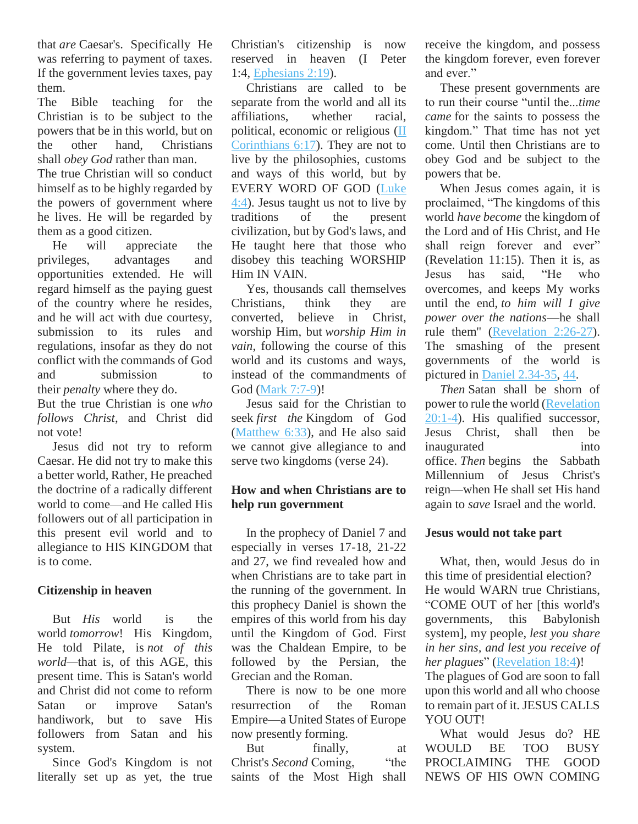that *are* Caesar's. Specifically He was referring to payment of taxes. If the government levies taxes, pay them.

The Bible teaching for the Christian is to be subject to the powers that be in this world, but on the other hand, Christians shall *obey God* rather than man. The true Christian will so conduct

himself as to be highly regarded by the powers of government where he lives. He will be regarded by them as a good citizen.

He will appreciate the privileges, advantages and opportunities extended. He will regard himself as the paying guest of the country where he resides, and he will act with due courtesy, submission to its rules and regulations, insofar as they do not conflict with the commands of God and submission to their *penalty* where they do. But the true Christian is one *who* 

*follows Christ*, and Christ did not vote!

Jesus did not try to reform Caesar. He did not try to make this a better world, Rather, He preached the doctrine of a radically different world to come—and He called His followers out of all participation in this present evil world and to allegiance to HIS KINGDOM that is to come.

## **Citizenship in heaven**

But *His* world is the world *tomorrow*! His Kingdom, He told Pilate, is *not of this world—*that is, of this AGE, this present time. This is Satan's world and Christ did not come to reform Satan or improve Satan's handiwork, but to save His followers from Satan and his system.

Since God's Kingdom is not literally set up as yet, the true

Christian's citizenship is now reserved in heaven (I Peter 1:4, [Ephesians 2:19\)](http://biblia.com/bible/nkjv/Eph%202.19).

Christians are called to be separate from the world and all its affiliations, whether racial, political, economic or religious [\(II](http://biblia.com/bible/nkjv/2%20Cor%206.17)  [Corinthians 6:17\)](http://biblia.com/bible/nkjv/2%20Cor%206.17). They are not to live by the philosophies, customs and ways of this world, but by EVERY WORD OF GOD [\(Luke](http://biblia.com/bible/nkjv/Luke%204.4)  [4:4\)](http://biblia.com/bible/nkjv/Luke%204.4). Jesus taught us not to live by traditions of the present civilization, but by God's laws, and He taught here that those who disobey this teaching WORSHIP Him IN VAIN.

Yes, thousands call themselves Christians, think they are converted, believe in Christ, worship Him, but *worship Him in vain*, following the course of this world and its customs and ways, instead of the commandments of God [\(Mark 7:7-9\)](http://biblia.com/bible/nkjv/Mark%207.7-9)!

Jesus said for the Christian to seek *first the* Kingdom of God [\(Matthew 6:33\)](http://biblia.com/bible/nkjv/Matt%206.33), and He also said we cannot give allegiance to and serve two kingdoms (verse 24).

## **How and when Christians are to help run government**

In the prophecy of Daniel 7 and especially in verses 17-18, 21-22 and 27, we find revealed how and when Christians are to take part in the running of the government. In this prophecy Daniel is shown the empires of this world from his day until the Kingdom of God. First was the Chaldean Empire, to be followed by the Persian, the Grecian and the Roman.

There is now to be one more resurrection of the Roman Empire—a United States of Europe now presently forming.

But finally, at Christ's *Second* Coming, "the saints of the Most High shall receive the kingdom, and possess the kingdom forever, even forever and ever."

These present governments are to run their course "until the...*time came* for the saints to possess the kingdom." That time has not yet come. Until then Christians are to obey God and be subject to the powers that be.

When Jesus comes again, it is proclaimed, "The kingdoms of this world *have become* the kingdom of the Lord and of His Christ, and He shall reign forever and ever" (Revelation 11:15). Then it is, as Jesus has said, "He who overcomes, and keeps My works until the end, *to him will I give power over the nations*—he shall rule them'' [\(Revelation 2:26-27\)](http://biblia.com/bible/nkjv/Rev%202.26-27). The smashing of the present governments of the world is pictured in [Daniel 2.34-35,](http://biblia.com/bible/nkjv/Dan%202.34-35) [44.](http://biblia.com/bible/nkjv/Daniel%202.44)

*Then* Satan shall be shorn of power to rule the world [\(Revelation](http://biblia.com/bible/nkjv/Rev%2020.1-4)  [20:1-4\)](http://biblia.com/bible/nkjv/Rev%2020.1-4). His qualified successor, Jesus Christ, shall then be inaugurated into office. *Then* begins the Sabbath Millennium of Jesus Christ's reign—when He shall set His hand again to *save* Israel and the world.

#### **Jesus would not take part**

What, then, would Jesus do in this time of presidential election? He would WARN true Christians, "COME OUT of her [this world's governments, this Babylonish system], my people, *lest you share in her sins, and lest you receive of her plagues*" [\(Revelation 18:4\)](http://biblia.com/bible/nkjv/Rev%2018.4)!

The plagues of God are soon to fall upon this world and all who choose to remain part of it. JESUS CALLS YOU OUT!

What would Jesus do? HE WOULD BE TOO BUSY PROCLAIMING THE GOOD NEWS OF HIS OWN COMING